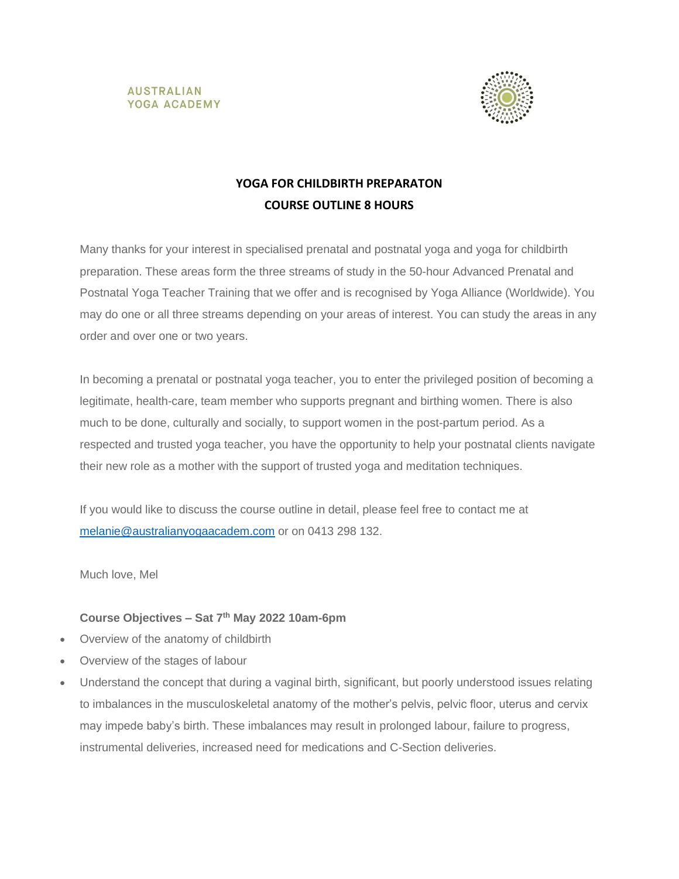



# **YOGA FOR CHILDBIRTH PREPARATON COURSE OUTLINE 8 HOURS**

Many thanks for your interest in specialised prenatal and postnatal yoga and yoga for childbirth preparation. These areas form the three streams of study in the 50-hour Advanced Prenatal and Postnatal Yoga Teacher Training that we offer and is recognised by Yoga Alliance (Worldwide). You may do one or all three streams depending on your areas of interest. You can study the areas in any order and over one or two years.

In becoming a prenatal or postnatal yoga teacher, you to enter the privileged position of becoming a legitimate, health-care, team member who supports pregnant and birthing women. There is also much to be done, culturally and socially, to support women in the post-partum period. As a respected and trusted yoga teacher, you have the opportunity to help your postnatal clients navigate their new role as a mother with the support of trusted yoga and meditation techniques.

If you would like to discuss the course outline in detail, please feel free to contact me at [melanie@australianyogaacadem.com](mailto:melanie@australianyogaacadem.com) or on 0413 298 132.

Much love, Mel

## **Course Objectives – Sat 7 th May 2022 10am-6pm**

- Overview of the anatomy of childbirth
- Overview of the stages of labour
- Understand the concept that during a vaginal birth, significant, but poorly understood issues relating to imbalances in the musculoskeletal anatomy of the mother's pelvis, pelvic floor, uterus and cervix may impede baby's birth. These imbalances may result in prolonged labour, failure to progress, instrumental deliveries, increased need for medications and C-Section deliveries.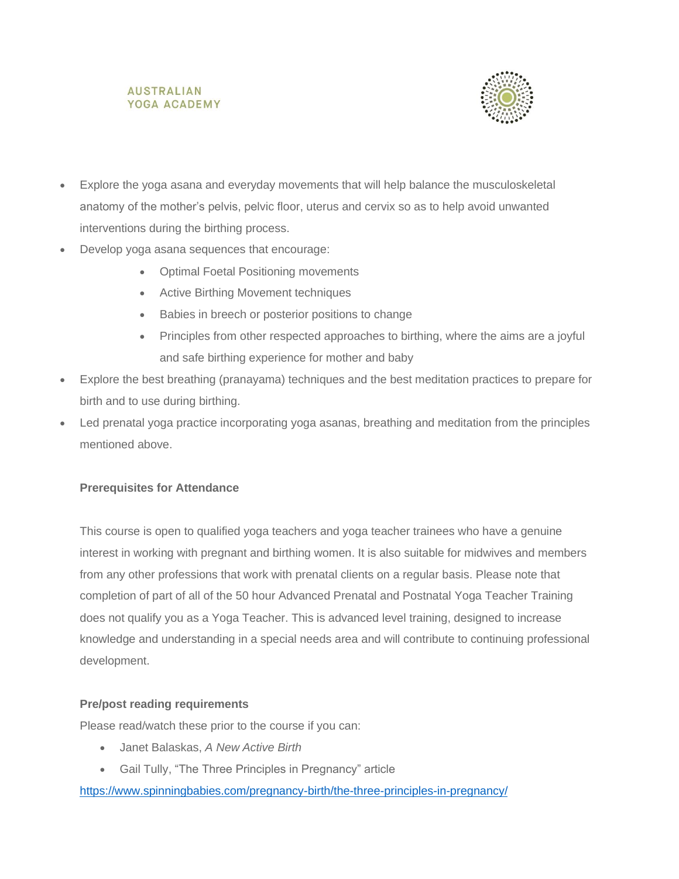### **AUSTRALIAN** YOGA ACADEMY



- Explore the yoga asana and everyday movements that will help balance the musculoskeletal anatomy of the mother's pelvis, pelvic floor, uterus and cervix so as to help avoid unwanted interventions during the birthing process.
- Develop yoga asana sequences that encourage:
	- Optimal Foetal Positioning movements
	- Active Birthing Movement techniques
	- Babies in breech or posterior positions to change
	- Principles from other respected approaches to birthing, where the aims are a joyful and safe birthing experience for mother and baby
- Explore the best breathing (pranayama) techniques and the best meditation practices to prepare for birth and to use during birthing.
- Led prenatal yoga practice incorporating yoga asanas, breathing and meditation from the principles mentioned above.

## **Prerequisites for Attendance**

This course is open to qualified yoga teachers and yoga teacher trainees who have a genuine interest in working with pregnant and birthing women. It is also suitable for midwives and members from any other professions that work with prenatal clients on a regular basis. Please note that completion of part of all of the 50 hour Advanced Prenatal and Postnatal Yoga Teacher Training does not qualify you as a Yoga Teacher. This is advanced level training, designed to increase knowledge and understanding in a special needs area and will contribute to continuing professional development.

#### **Pre/post reading requirements**

Please read/watch these prior to the course if you can:

- Janet Balaskas, *A New Active Birth*
- Gail Tully, "The Three Principles in Pregnancy" article

<https://www.spinningbabies.com/pregnancy-birth/the-three-principles-in-pregnancy/>